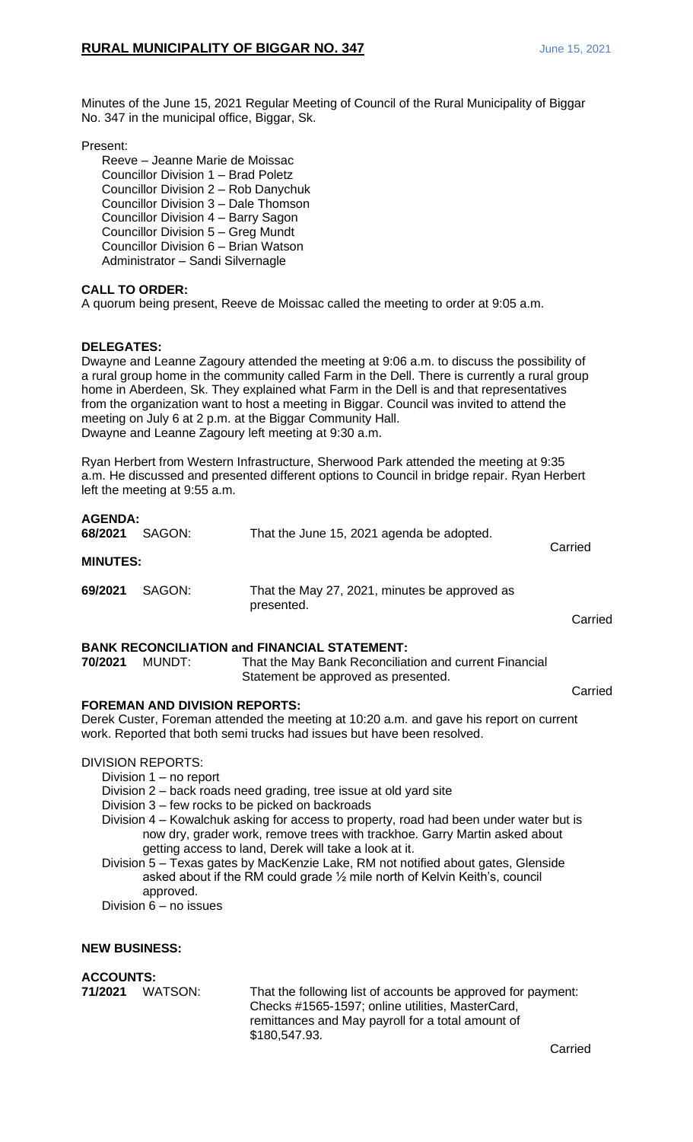Minutes of the June 15, 2021 Regular Meeting of Council of the Rural Municipality of Biggar No. 347 in the municipal office, Biggar, Sk.

Present:

Reeve – Jeanne Marie de Moissac Councillor Division 1 – Brad Poletz Councillor Division 2 – Rob Danychuk Councillor Division 3 – Dale Thomson Councillor Division 4 – Barry Sagon Councillor Division 5 – Greg Mundt Councillor Division 6 – Brian Watson Administrator – Sandi Silvernagle

## **CALL TO ORDER:**

A quorum being present, Reeve de Moissac called the meeting to order at 9:05 a.m.

## **DELEGATES:**

Dwayne and Leanne Zagoury attended the meeting at 9:06 a.m. to discuss the possibility of a rural group home in the community called Farm in the Dell. There is currently a rural group home in Aberdeen, Sk. They explained what Farm in the Dell is and that representatives from the organization want to host a meeting in Biggar. Council was invited to attend the meeting on July 6 at 2 p.m. at the Biggar Community Hall. Dwayne and Leanne Zagoury left meeting at 9:30 a.m.

Ryan Herbert from Western Infrastructure, Sherwood Park attended the meeting at 9:35 a.m. He discussed and presented different options to Council in bridge repair. Ryan Herbert left the meeting at 9:55 a.m.

| <b>AGENDA:</b><br>68/2021 | SAGON: | That the June 15, 2021 agenda be adopted.                   | Carried |
|---------------------------|--------|-------------------------------------------------------------|---------|
| <b>MINUTES:</b>           |        |                                                             |         |
| 69/2021                   | SAGON: | That the May 27, 2021, minutes be approved as<br>presented. |         |
|                           |        |                                                             | Carried |

### **BANK RECONCILIATION and FINANCIAL STATEMENT:**

**70/2021** MUNDT: That the May Bank Reconciliation and current Financial Statement be approved as presented.

Carried

### **FOREMAN AND DIVISION REPORTS:**

Derek Custer, Foreman attended the meeting at 10:20 a.m. and gave his report on current work. Reported that both semi trucks had issues but have been resolved.

DIVISION REPORTS:

- Division 1 no report
- Division 2 back roads need grading, tree issue at old yard site
- Division 3 few rocks to be picked on backroads
- Division 4 Kowalchuk asking for access to property, road had been under water but is now dry, grader work, remove trees with trackhoe. Garry Martin asked about getting access to land, Derek will take a look at it.
- Division 5 Texas gates by MacKenzie Lake, RM not notified about gates, Glenside asked about if the RM could grade ½ mile north of Kelvin Keith's, council approved.

Division 6 – no issues

### **NEW BUSINESS:**

**ACCOUNTS:**<br>71/2021 WATSON:

That the following list of accounts be approved for payment: Checks #1565-1597; online utilities, MasterCard, remittances and May payroll for a total amount of \$180,547.93.

Carried